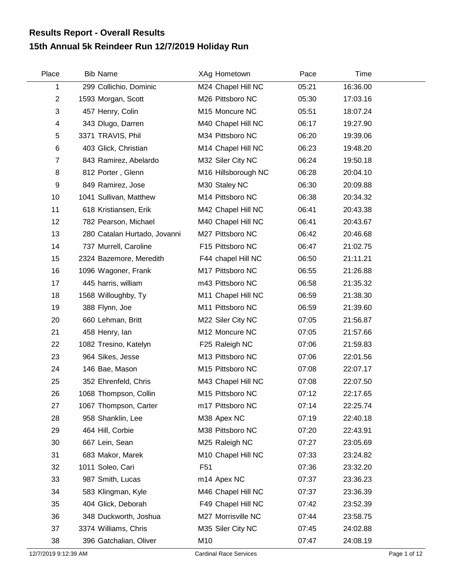## **15th Annual 5k Reindeer Run 12/7/2019 Holiday Run Results Report - Overall Results**

| Place                     | <b>Bib Name</b>              | XAg Hometown                  | Pace  | Time     |              |
|---------------------------|------------------------------|-------------------------------|-------|----------|--------------|
| 1                         | 299 Collichio, Dominic       | M24 Chapel Hill NC            | 05:21 | 16:36.00 |              |
| $\overline{2}$            | 1593 Morgan, Scott           | M26 Pittsboro NC              | 05:30 | 17:03.16 |              |
| $\ensuremath{\mathsf{3}}$ | 457 Henry, Colin             | M15 Moncure NC                | 05:51 | 18:07.24 |              |
| 4                         | 343 Dlugo, Darren            | M40 Chapel Hill NC            | 06:17 | 19:27.90 |              |
| 5                         | 3371 TRAVIS, Phil            | M34 Pittsboro NC              | 06:20 | 19:39.06 |              |
| $\,6$                     | 403 Glick, Christian         | M14 Chapel Hill NC            | 06:23 | 19:48.20 |              |
| 7                         | 843 Ramirez, Abelardo        | M32 Siler City NC             | 06:24 | 19:50.18 |              |
| 8                         | 812 Porter, Glenn            | M16 Hillsborough NC           | 06:28 | 20:04.10 |              |
| 9                         | 849 Ramirez, Jose            | M30 Staley NC                 | 06:30 | 20:09.88 |              |
| 10                        | 1041 Sullivan, Matthew       | M14 Pittsboro NC              | 06:38 | 20:34.32 |              |
| 11                        | 618 Kristiansen, Erik        | M42 Chapel Hill NC            | 06:41 | 20:43.38 |              |
| 12                        | 782 Pearson, Michael         | M40 Chapel Hill NC            | 06:41 | 20:43.67 |              |
| 13                        | 280 Catalan Hurtado, Jovanni | M27 Pittsboro NC              | 06:42 | 20:46.68 |              |
| 14                        | 737 Murrell, Caroline        | F15 Pittsboro NC              | 06:47 | 21:02.75 |              |
| 15                        | 2324 Bazemore, Meredith      | F44 chapel Hill NC            | 06:50 | 21:11.21 |              |
| 16                        | 1096 Wagoner, Frank          | M17 Pittsboro NC              | 06:55 | 21:26.88 |              |
| 17                        | 445 harris, william          | m43 Pittsboro NC              | 06:58 | 21:35.32 |              |
| 18                        | 1568 Willoughby, Ty          | M11 Chapel Hill NC            | 06:59 | 21:38.30 |              |
| 19                        | 388 Flynn, Joe               | M11 Pittsboro NC              | 06:59 | 21:39.60 |              |
| 20                        | 660 Lehman, Britt            | M22 Siler City NC             | 07:05 | 21:56.87 |              |
| 21                        | 458 Henry, lan               | M12 Moncure NC                | 07:05 | 21:57.66 |              |
| 22                        | 1082 Tresino, Katelyn        | F25 Raleigh NC                | 07:06 | 21:59.83 |              |
| 23                        | 964 Sikes, Jesse             | M13 Pittsboro NC              | 07:06 | 22:01.56 |              |
| 24                        | 146 Bae, Mason               | M15 Pittsboro NC              | 07:08 | 22:07.17 |              |
| 25                        | 352 Ehrenfeld, Chris         | M43 Chapel Hill NC            | 07:08 | 22:07.50 |              |
| 26                        | 1068 Thompson, Collin        | M15 Pittsboro NC              | 07:12 | 22:17.65 |              |
| 27                        | 1067 Thompson, Carter        | m17 Pittsboro NC              | 07:14 | 22:25.74 |              |
| 28                        | 958 Shanklin, Lee            | M38 Apex NC                   | 07:19 | 22:40.18 |              |
| 29                        | 464 Hill, Corbie             | M38 Pittsboro NC              | 07:20 | 22:43.91 |              |
| 30                        | 667 Lein, Sean               | M25 Raleigh NC                | 07:27 | 23:05.69 |              |
| 31                        | 683 Makor, Marek             | M10 Chapel Hill NC            | 07:33 | 23:24.82 |              |
| 32                        | 1011 Soleo, Cari             | F <sub>51</sub>               | 07:36 | 23:32.20 |              |
| 33                        | 987 Smith, Lucas             | m <sub>14</sub> Apex NC       | 07:37 | 23:36.23 |              |
| 34                        | 583 Klingman, Kyle           | M46 Chapel Hill NC            | 07:37 | 23:36.39 |              |
| 35                        | 404 Glick, Deborah           | F49 Chapel Hill NC            | 07:42 | 23:52.39 |              |
| 36                        | 348 Duckworth, Joshua        | M27 Morrisville NC            | 07:44 | 23:58.75 |              |
| 37                        | 3374 Williams, Chris         | M35 Siler City NC             | 07:45 | 24:02.88 |              |
| 38                        | 396 Gatchalian, Oliver       | M10                           | 07:47 | 24:08.19 |              |
| 12/7/2019 9:12:39 AM      |                              | <b>Cardinal Race Services</b> |       |          | Page 1 of 12 |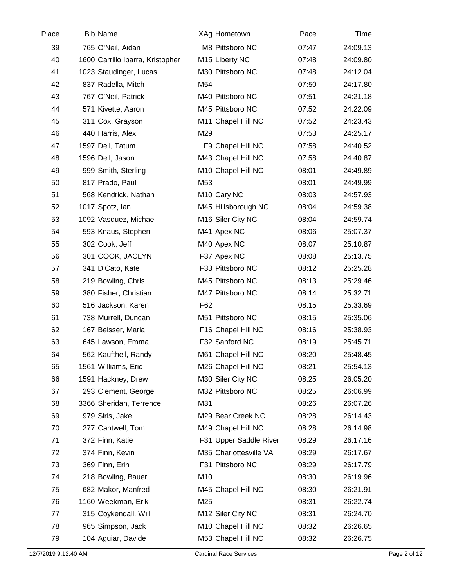| Place | <b>Bib Name</b>                  | XAg Hometown            | Pace  | Time     |  |
|-------|----------------------------------|-------------------------|-------|----------|--|
| 39    | 765 O'Neil, Aidan                | M8 Pittsboro NC         | 07:47 | 24:09.13 |  |
| 40    | 1600 Carrillo Ibarra, Kristopher | M15 Liberty NC          | 07:48 | 24:09.80 |  |
| 41    | 1023 Staudinger, Lucas           | M30 Pittsboro NC        | 07:48 | 24:12.04 |  |
| 42    | 837 Radella, Mitch               | M54                     | 07:50 | 24:17.80 |  |
| 43    | 767 O'Neil, Patrick              | M40 Pittsboro NC        | 07:51 | 24:21.18 |  |
| 44    | 571 Kivette, Aaron               | M45 Pittsboro NC        | 07:52 | 24:22.09 |  |
| 45    | 311 Cox, Grayson                 | M11 Chapel Hill NC      | 07:52 | 24:23.43 |  |
| 46    | 440 Harris, Alex                 | M29                     | 07:53 | 24:25.17 |  |
| 47    | 1597 Dell, Tatum                 | F9 Chapel Hill NC       | 07:58 | 24:40.52 |  |
| 48    | 1596 Dell, Jason                 | M43 Chapel Hill NC      | 07:58 | 24:40.87 |  |
| 49    | 999 Smith, Sterling              | M10 Chapel Hill NC      | 08:01 | 24:49.89 |  |
| 50    | 817 Prado, Paul                  | M53                     | 08:01 | 24:49.99 |  |
| 51    | 568 Kendrick, Nathan             | M <sub>10</sub> Cary NC | 08:03 | 24:57.93 |  |
| 52    | 1017 Spotz, lan                  | M45 Hillsborough NC     | 08:04 | 24:59.38 |  |
| 53    | 1092 Vasquez, Michael            | M16 Siler City NC       | 08:04 | 24:59.74 |  |
| 54    | 593 Knaus, Stephen               | M41 Apex NC             | 08:06 | 25:07.37 |  |
| 55    | 302 Cook, Jeff                   | M40 Apex NC             | 08:07 | 25:10.87 |  |
| 56    | 301 COOK, JACLYN                 | F37 Apex NC             | 08:08 | 25:13.75 |  |
| 57    | 341 DiCato, Kate                 | F33 Pittsboro NC        | 08:12 | 25:25.28 |  |
| 58    | 219 Bowling, Chris               | M45 Pittsboro NC        | 08:13 | 25:29.46 |  |
| 59    | 380 Fisher, Christian            | M47 Pittsboro NC        | 08:14 | 25:32.71 |  |
| 60    | 516 Jackson, Karen               | F62                     | 08:15 | 25:33.69 |  |
| 61    | 738 Murrell, Duncan              | M51 Pittsboro NC        | 08:15 | 25:35.06 |  |
| 62    | 167 Beisser, Maria               | F16 Chapel Hill NC      | 08:16 | 25:38.93 |  |
| 63    | 645 Lawson, Emma                 | F32 Sanford NC          | 08:19 | 25:45.71 |  |
| 64    | 562 Kauftheil, Randy             | M61 Chapel Hill NC      | 08:20 | 25:48.45 |  |
| 65    | 1561 Williams, Eric              | M26 Chapel Hill NC      | 08:21 | 25:54.13 |  |
| 66    | 1591 Hackney, Drew               | M30 Siler City NC       | 08:25 | 26:05.20 |  |
| 67    | 293 Clement, George              | M32 Pittsboro NC        | 08:25 | 26:06.99 |  |
| 68    | 3366 Sheridan, Terrence          | M31                     | 08:26 | 26:07.26 |  |
| 69    | 979 Sirls, Jake                  | M29 Bear Creek NC       | 08:28 | 26:14.43 |  |
| 70    | 277 Cantwell, Tom                | M49 Chapel Hill NC      | 08:28 | 26:14.98 |  |
| 71    | 372 Finn, Katie                  | F31 Upper Saddle River  | 08:29 | 26:17.16 |  |
| 72    | 374 Finn, Kevin                  | M35 Charlottesville VA  | 08:29 | 26:17.67 |  |
| 73    | 369 Finn, Erin                   | F31 Pittsboro NC        | 08:29 | 26:17.79 |  |
| 74    | 218 Bowling, Bauer               | M10                     | 08:30 | 26:19.96 |  |
| 75    | 682 Makor, Manfred               | M45 Chapel Hill NC      | 08:30 | 26:21.91 |  |
| 76    | 1160 Weekman, Erik               | M25                     | 08:31 | 26:22.74 |  |
| 77    | 315 Coykendall, Will             | M12 Siler City NC       | 08:31 | 26:24.70 |  |
| 78    | 965 Simpson, Jack                | M10 Chapel Hill NC      | 08:32 | 26:26.65 |  |
| 79    | 104 Aguiar, Davide               | M53 Chapel Hill NC      | 08:32 | 26:26.75 |  |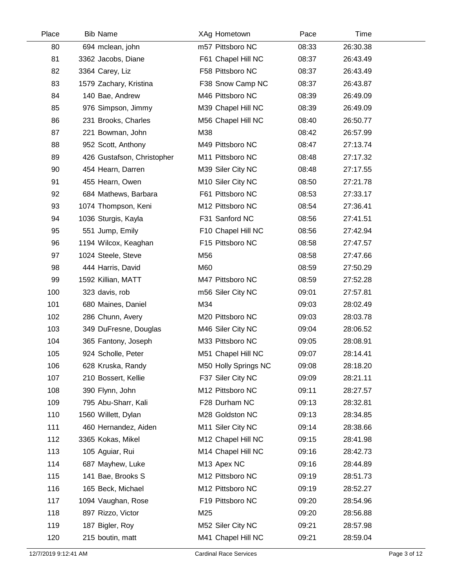| Place | <b>Bib Name</b>            | XAg Hometown         | Pace  | Time     |  |
|-------|----------------------------|----------------------|-------|----------|--|
| 80    | 694 mclean, john           | m57 Pittsboro NC     | 08:33 | 26:30.38 |  |
| 81    | 3362 Jacobs, Diane         | F61 Chapel Hill NC   | 08:37 | 26:43.49 |  |
| 82    | 3364 Carey, Liz            | F58 Pittsboro NC     | 08:37 | 26:43.49 |  |
| 83    | 1579 Zachary, Kristina     | F38 Snow Camp NC     | 08:37 | 26:43.87 |  |
| 84    | 140 Bae, Andrew            | M46 Pittsboro NC     | 08:39 | 26:49.09 |  |
| 85    | 976 Simpson, Jimmy         | M39 Chapel Hill NC   | 08:39 | 26:49.09 |  |
| 86    | 231 Brooks, Charles        | M56 Chapel Hill NC   | 08:40 | 26:50.77 |  |
| 87    | 221 Bowman, John           | M38                  | 08:42 | 26:57.99 |  |
| 88    | 952 Scott, Anthony         | M49 Pittsboro NC     | 08:47 | 27:13.74 |  |
| 89    | 426 Gustafson, Christopher | M11 Pittsboro NC     | 08:48 | 27:17.32 |  |
| 90    | 454 Hearn, Darren          | M39 Siler City NC    | 08:48 | 27:17.55 |  |
| 91    | 455 Hearn, Owen            | M10 Siler City NC    | 08:50 | 27:21.78 |  |
| 92    | 684 Mathews, Barbara       | F61 Pittsboro NC     | 08:53 | 27:33.17 |  |
| 93    | 1074 Thompson, Keni        | M12 Pittsboro NC     | 08:54 | 27:36.41 |  |
| 94    | 1036 Sturgis, Kayla        | F31 Sanford NC       | 08:56 | 27:41.51 |  |
| 95    | 551 Jump, Emily            | F10 Chapel Hill NC   | 08:56 | 27:42.94 |  |
| 96    | 1194 Wilcox, Keaghan       | F15 Pittsboro NC     | 08:58 | 27:47.57 |  |
| 97    | 1024 Steele, Steve         | M56                  | 08:58 | 27:47.66 |  |
| 98    | 444 Harris, David          | M60                  | 08:59 | 27:50.29 |  |
| 99    | 1592 Killian, MATT         | M47 Pittsboro NC     | 08:59 | 27:52.28 |  |
| 100   | 323 davis, rob             | m56 Siler City NC    | 09:01 | 27:57.81 |  |
| 101   | 680 Maines, Daniel         | M34                  | 09:03 | 28:02.49 |  |
| 102   | 286 Chunn, Avery           | M20 Pittsboro NC     | 09:03 | 28:03.78 |  |
| 103   | 349 DuFresne, Douglas      | M46 Siler City NC    | 09:04 | 28:06.52 |  |
| 104   | 365 Fantony, Joseph        | M33 Pittsboro NC     | 09:05 | 28:08.91 |  |
| 105   | 924 Scholle, Peter         | M51 Chapel Hill NC   | 09:07 | 28:14.41 |  |
| 106   | 628 Kruska, Randy          | M50 Holly Springs NC | 09:08 | 28:18.20 |  |
| 107   | 210 Bossert, Kellie        | F37 Siler City NC    | 09:09 | 28:21.11 |  |
| 108   | 390 Flynn, John            | M12 Pittsboro NC     | 09:11 | 28:27.57 |  |
| 109   | 795 Abu-Sharr, Kali        | F28 Durham NC        | 09:13 | 28:32.81 |  |
| 110   | 1560 Willett, Dylan        | M28 Goldston NC      | 09:13 | 28:34.85 |  |
| 111   | 460 Hernandez, Aiden       | M11 Siler City NC    | 09:14 | 28:38.66 |  |
| 112   | 3365 Kokas, Mikel          | M12 Chapel Hill NC   | 09:15 | 28:41.98 |  |
| 113   | 105 Aguiar, Rui            | M14 Chapel Hill NC   | 09:16 | 28:42.73 |  |
| 114   | 687 Mayhew, Luke           | M13 Apex NC          | 09:16 | 28:44.89 |  |
| 115   | 141 Bae, Brooks S          | M12 Pittsboro NC     | 09:19 | 28:51.73 |  |
| 116   | 165 Beck, Michael          | M12 Pittsboro NC     | 09:19 | 28:52.27 |  |
| 117   | 1094 Vaughan, Rose         | F19 Pittsboro NC     | 09:20 | 28:54.96 |  |
| 118   | 897 Rizzo, Victor          | M25                  | 09:20 | 28:56.88 |  |
| 119   | 187 Bigler, Roy            | M52 Siler City NC    | 09:21 | 28:57.98 |  |
| 120   | 215 boutin, matt           | M41 Chapel Hill NC   | 09:21 | 28:59.04 |  |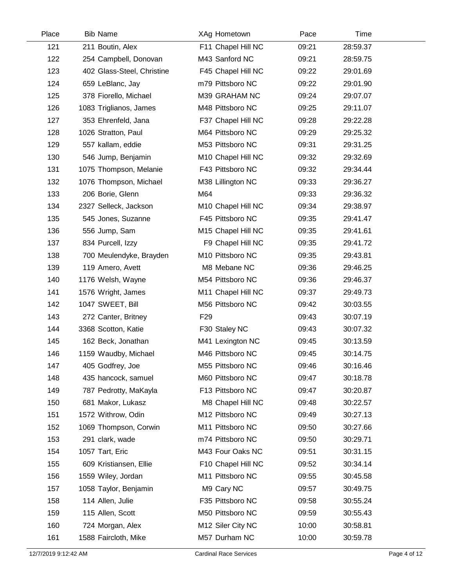| Place | <b>Bib Name</b>            | XAg Hometown       | Pace  | Time     |  |
|-------|----------------------------|--------------------|-------|----------|--|
| 121   | 211 Boutin, Alex           | F11 Chapel Hill NC | 09:21 | 28:59.37 |  |
| 122   | 254 Campbell, Donovan      | M43 Sanford NC     | 09:21 | 28:59.75 |  |
| 123   | 402 Glass-Steel, Christine | F45 Chapel Hill NC | 09:22 | 29:01.69 |  |
| 124   | 659 LeBlanc, Jay           | m79 Pittsboro NC   | 09:22 | 29:01.90 |  |
| 125   | 378 Fiorello, Michael      | M39 GRAHAM NC      | 09:24 | 29:07.07 |  |
| 126   | 1083 Triglianos, James     | M48 Pittsboro NC   | 09:25 | 29:11.07 |  |
| 127   | 353 Ehrenfeld, Jana        | F37 Chapel Hill NC | 09:28 | 29:22.28 |  |
| 128   | 1026 Stratton, Paul        | M64 Pittsboro NC   | 09:29 | 29:25.32 |  |
| 129   | 557 kallam, eddie          | M53 Pittsboro NC   | 09:31 | 29:31.25 |  |
| 130   | 546 Jump, Benjamin         | M10 Chapel Hill NC | 09:32 | 29:32.69 |  |
| 131   | 1075 Thompson, Melanie     | F43 Pittsboro NC   | 09:32 | 29:34.44 |  |
| 132   | 1076 Thompson, Michael     | M38 Lillington NC  | 09:33 | 29:36.27 |  |
| 133   | 206 Borie, Glenn           | M64                | 09:33 | 29:36.32 |  |
| 134   | 2327 Selleck, Jackson      | M10 Chapel Hill NC | 09:34 | 29:38.97 |  |
| 135   | 545 Jones, Suzanne         | F45 Pittsboro NC   | 09:35 | 29:41.47 |  |
| 136   | 556 Jump, Sam              | M15 Chapel Hill NC | 09:35 | 29:41.61 |  |
| 137   | 834 Purcell, Izzy          | F9 Chapel Hill NC  | 09:35 | 29:41.72 |  |
| 138   | 700 Meulendyke, Brayden    | M10 Pittsboro NC   | 09:35 | 29:43.81 |  |
| 139   | 119 Amero, Avett           | M8 Mebane NC       | 09:36 | 29:46.25 |  |
| 140   | 1176 Welsh, Wayne          | M54 Pittsboro NC   | 09:36 | 29:46.37 |  |
| 141   | 1576 Wright, James         | M11 Chapel Hill NC | 09:37 | 29:49.73 |  |
| 142   | 1047 SWEET, Bill           | M56 Pittsboro NC   | 09:42 | 30:03.55 |  |
| 143   | 272 Canter, Britney        | F <sub>29</sub>    | 09:43 | 30:07.19 |  |
| 144   | 3368 Scotton, Katie        | F30 Staley NC      | 09:43 | 30:07.32 |  |
| 145   | 162 Beck, Jonathan         | M41 Lexington NC   | 09:45 | 30:13.59 |  |
| 146   | 1159 Waudby, Michael       | M46 Pittsboro NC   | 09:45 | 30:14.75 |  |
| 147   | 405 Godfrey, Joe           | M55 Pittsboro NC   | 09:46 | 30:16.46 |  |
| 148   | 435 hancock, samuel        | M60 Pittsboro NC   | 09:47 | 30:18.78 |  |
| 149   | 787 Pedrotty, MaKayla      | F13 Pittsboro NC   | 09:47 | 30:20.87 |  |
| 150   | 681 Makor, Lukasz          | M8 Chapel Hill NC  | 09:48 | 30:22.57 |  |
| 151   | 1572 Withrow, Odin         | M12 Pittsboro NC   | 09:49 | 30:27.13 |  |
| 152   | 1069 Thompson, Corwin      | M11 Pittsboro NC   | 09:50 | 30:27.66 |  |
| 153   | 291 clark, wade            | m74 Pittsboro NC   | 09:50 | 30:29.71 |  |
| 154   | 1057 Tart, Eric            | M43 Four Oaks NC   | 09:51 | 30:31.15 |  |
| 155   | 609 Kristiansen, Ellie     | F10 Chapel Hill NC | 09:52 | 30:34.14 |  |
| 156   | 1559 Wiley, Jordan         | M11 Pittsboro NC   | 09:55 | 30:45.58 |  |
| 157   | 1058 Taylor, Benjamin      | M9 Cary NC         | 09:57 | 30:49.75 |  |
| 158   | 114 Allen, Julie           | F35 Pittsboro NC   | 09:58 | 30:55.24 |  |
| 159   | 115 Allen, Scott           | M50 Pittsboro NC   | 09:59 | 30:55.43 |  |
| 160   | 724 Morgan, Alex           | M12 Siler City NC  | 10:00 | 30:58.81 |  |
| 161   | 1588 Faircloth, Mike       | M57 Durham NC      | 10:00 | 30:59.78 |  |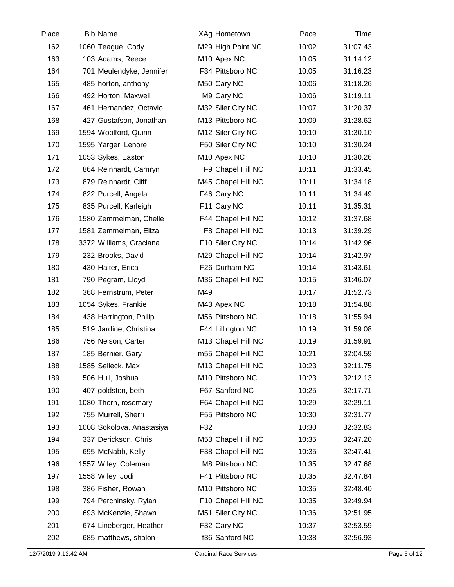| Place | <b>Bib Name</b>           | XAg Hometown            | Pace  | Time     |  |
|-------|---------------------------|-------------------------|-------|----------|--|
| 162   | 1060 Teague, Cody         | M29 High Point NC       | 10:02 | 31:07.43 |  |
| 163   | 103 Adams, Reece          | M <sub>10</sub> Apex NC | 10:05 | 31:14.12 |  |
| 164   | 701 Meulendyke, Jennifer  | F34 Pittsboro NC        | 10:05 | 31:16.23 |  |
| 165   | 485 horton, anthony       | M50 Cary NC             | 10:06 | 31:18.26 |  |
| 166   | 492 Horton, Maxwell       | M9 Cary NC              | 10:06 | 31:19.11 |  |
| 167   | 461 Hernandez, Octavio    | M32 Siler City NC       | 10:07 | 31:20.37 |  |
| 168   | 427 Gustafson, Jonathan   | M13 Pittsboro NC        | 10:09 | 31:28.62 |  |
| 169   | 1594 Woolford, Quinn      | M12 Siler City NC       | 10:10 | 31:30.10 |  |
| 170   | 1595 Yarger, Lenore       | F50 Siler City NC       | 10:10 | 31:30.24 |  |
| 171   | 1053 Sykes, Easton        | M <sub>10</sub> Apex NC | 10:10 | 31:30.26 |  |
| 172   | 864 Reinhardt, Camryn     | F9 Chapel Hill NC       | 10:11 | 31:33.45 |  |
| 173   | 879 Reinhardt, Cliff      | M45 Chapel Hill NC      | 10:11 | 31:34.18 |  |
| 174   | 822 Purcell, Angela       | F46 Cary NC             | 10:11 | 31:34.49 |  |
| 175   | 835 Purcell, Karleigh     | F11 Cary NC             | 10:11 | 31:35.31 |  |
| 176   | 1580 Zemmelman, Chelle    | F44 Chapel Hill NC      | 10:12 | 31:37.68 |  |
| 177   | 1581 Zemmelman, Eliza     | F8 Chapel Hill NC       | 10:13 | 31:39.29 |  |
| 178   | 3372 Williams, Graciana   | F10 Siler City NC       | 10:14 | 31:42.96 |  |
| 179   | 232 Brooks, David         | M29 Chapel Hill NC      | 10:14 | 31:42.97 |  |
| 180   | 430 Halter, Erica         | F26 Durham NC           | 10:14 | 31:43.61 |  |
| 181   | 790 Pegram, Lloyd         | M36 Chapel Hill NC      | 10:15 | 31:46.07 |  |
| 182   | 368 Fernstrum, Peter      | M49                     | 10:17 | 31:52.73 |  |
| 183   | 1054 Sykes, Frankie       | M43 Apex NC             | 10:18 | 31:54.88 |  |
| 184   | 438 Harrington, Philip    | M56 Pittsboro NC        | 10:18 | 31:55.94 |  |
| 185   | 519 Jardine, Christina    | F44 Lillington NC       | 10:19 | 31:59.08 |  |
| 186   | 756 Nelson, Carter        | M13 Chapel Hill NC      | 10:19 | 31:59.91 |  |
| 187   | 185 Bernier, Gary         | m55 Chapel Hill NC      | 10:21 | 32:04.59 |  |
| 188   | 1585 Selleck, Max         | M13 Chapel Hill NC      | 10:23 | 32:11.75 |  |
| 189   | 506 Hull, Joshua          | M10 Pittsboro NC        | 10:23 | 32:12.13 |  |
| 190   | 407 goldston, beth        | F67 Sanford NC          | 10:25 | 32:17.71 |  |
| 191   | 1080 Thorn, rosemary      | F64 Chapel Hill NC      | 10:29 | 32:29.11 |  |
| 192   | 755 Murrell, Sherri       | F55 Pittsboro NC        | 10:30 | 32:31.77 |  |
| 193   | 1008 Sokolova, Anastasiya | F32                     | 10:30 | 32:32.83 |  |
| 194   | 337 Derickson, Chris      | M53 Chapel Hill NC      | 10:35 | 32:47.20 |  |
| 195   | 695 McNabb, Kelly         | F38 Chapel Hill NC      | 10:35 | 32:47.41 |  |
| 196   | 1557 Wiley, Coleman       | M8 Pittsboro NC         | 10:35 | 32:47.68 |  |
| 197   | 1558 Wiley, Jodi          | F41 Pittsboro NC        | 10:35 | 32:47.84 |  |
| 198   | 386 Fisher, Rowan         | M10 Pittsboro NC        | 10:35 | 32:48.40 |  |
| 199   | 794 Perchinsky, Rylan     | F10 Chapel Hill NC      | 10:35 | 32:49.94 |  |
| 200   | 693 McKenzie, Shawn       | M51 Siler City NC       | 10:36 | 32:51.95 |  |
| 201   | 674 Lineberger, Heather   | F32 Cary NC             | 10:37 | 32:53.59 |  |
| 202   | 685 matthews, shalon      | f36 Sanford NC          | 10:38 | 32:56.93 |  |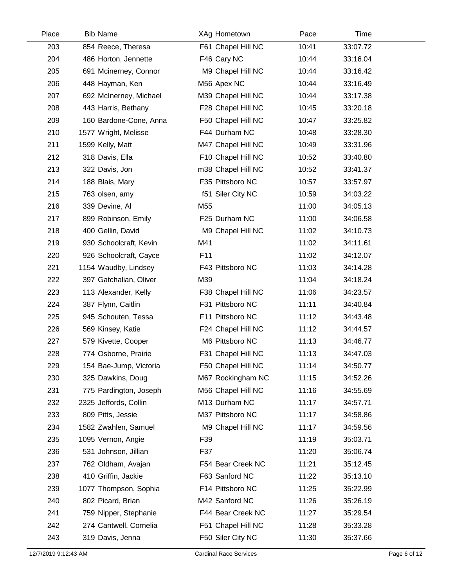| Place | <b>Bib Name</b>        | XAg Hometown       | Pace  | Time     |  |
|-------|------------------------|--------------------|-------|----------|--|
| 203   | 854 Reece, Theresa     | F61 Chapel Hill NC | 10:41 | 33:07.72 |  |
| 204   | 486 Horton, Jennette   | F46 Cary NC        | 10:44 | 33:16.04 |  |
| 205   | 691 Mcinerney, Connor  | M9 Chapel Hill NC  | 10:44 | 33:16.42 |  |
| 206   | 448 Hayman, Ken        | M56 Apex NC        | 10:44 | 33:16.49 |  |
| 207   | 692 McInerney, Michael | M39 Chapel Hill NC | 10:44 | 33:17.38 |  |
| 208   | 443 Harris, Bethany    | F28 Chapel Hill NC | 10:45 | 33:20.18 |  |
| 209   | 160 Bardone-Cone, Anna | F50 Chapel Hill NC | 10:47 | 33:25.82 |  |
| 210   | 1577 Wright, Melisse   | F44 Durham NC      | 10:48 | 33:28.30 |  |
| 211   | 1599 Kelly, Matt       | M47 Chapel Hill NC | 10:49 | 33:31.96 |  |
| 212   | 318 Davis, Ella        | F10 Chapel Hill NC | 10:52 | 33:40.80 |  |
| 213   | 322 Davis, Jon         | m38 Chapel Hill NC | 10:52 | 33:41.37 |  |
| 214   | 188 Blais, Mary        | F35 Pittsboro NC   | 10:57 | 33:57.97 |  |
| 215   | 763 olsen, amy         | f51 Siler City NC  | 10:59 | 34:03.22 |  |
| 216   | 339 Devine, Al         | M <sub>55</sub>    | 11:00 | 34:05.13 |  |
| 217   | 899 Robinson, Emily    | F25 Durham NC      | 11:00 | 34:06.58 |  |
| 218   | 400 Gellin, David      | M9 Chapel Hill NC  | 11:02 | 34:10.73 |  |
| 219   | 930 Schoolcraft, Kevin | M41                | 11:02 | 34:11.61 |  |
| 220   | 926 Schoolcraft, Cayce | F11                | 11:02 | 34:12.07 |  |
| 221   | 1154 Waudby, Lindsey   | F43 Pittsboro NC   | 11:03 | 34:14.28 |  |
| 222   | 397 Gatchalian, Oliver | M39                | 11:04 | 34:18.24 |  |
| 223   | 113 Alexander, Kelly   | F38 Chapel Hill NC | 11:06 | 34:23.57 |  |
| 224   | 387 Flynn, Caitlin     | F31 Pittsboro NC   | 11:11 | 34:40.84 |  |
| 225   | 945 Schouten, Tessa    | F11 Pittsboro NC   | 11:12 | 34:43.48 |  |
| 226   | 569 Kinsey, Katie      | F24 Chapel Hill NC | 11:12 | 34:44.57 |  |
| 227   | 579 Kivette, Cooper    | M6 Pittsboro NC    | 11:13 | 34:46.77 |  |
| 228   | 774 Osborne, Prairie   | F31 Chapel Hill NC | 11:13 | 34:47.03 |  |
| 229   | 154 Bae-Jump, Victoria | F50 Chapel Hill NC | 11:14 | 34:50.77 |  |
| 230   | 325 Dawkins, Doug      | M67 Rockingham NC  | 11:15 | 34:52.26 |  |
| 231   | 775 Pardington, Joseph | M56 Chapel Hill NC | 11:16 | 34:55.69 |  |
| 232   | 2325 Jeffords, Collin  | M13 Durham NC      | 11:17 | 34:57.71 |  |
| 233   | 809 Pitts, Jessie      | M37 Pittsboro NC   | 11:17 | 34:58.86 |  |
| 234   | 1582 Zwahlen, Samuel   | M9 Chapel Hill NC  | 11:17 | 34:59.56 |  |
| 235   | 1095 Vernon, Angie     | F39                | 11:19 | 35:03.71 |  |
| 236   | 531 Johnson, Jillian   | F37                | 11:20 | 35:06.74 |  |
| 237   | 762 Oldham, Avajan     | F54 Bear Creek NC  | 11:21 | 35:12.45 |  |
| 238   | 410 Griffin, Jackie    | F63 Sanford NC     | 11:22 | 35:13.10 |  |
| 239   | 1077 Thompson, Sophia  | F14 Pittsboro NC   | 11:25 | 35:22.99 |  |
| 240   | 802 Picard, Brian      | M42 Sanford NC     | 11:26 | 35:26.19 |  |
| 241   | 759 Nipper, Stephanie  | F44 Bear Creek NC  | 11:27 | 35:29.54 |  |
| 242   | 274 Cantwell, Cornelia | F51 Chapel Hill NC | 11:28 | 35:33.28 |  |
| 243   | 319 Davis, Jenna       | F50 Siler City NC  | 11:30 | 35:37.66 |  |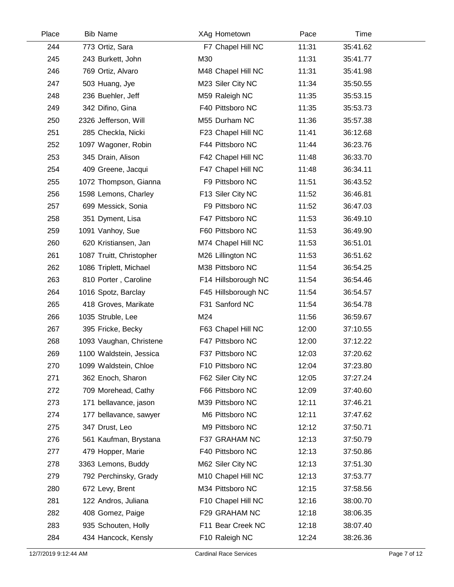| Place | <b>Bib Name</b>          | XAg Hometown        | Pace  | Time     |  |
|-------|--------------------------|---------------------|-------|----------|--|
| 244   | 773 Ortiz, Sara          | F7 Chapel Hill NC   | 11:31 | 35:41.62 |  |
| 245   | 243 Burkett, John        | M30                 | 11:31 | 35:41.77 |  |
| 246   | 769 Ortiz, Alvaro        | M48 Chapel Hill NC  | 11:31 | 35:41.98 |  |
| 247   | 503 Huang, Jye           | M23 Siler City NC   | 11:34 | 35:50.55 |  |
| 248   | 236 Buehler, Jeff        | M59 Raleigh NC      | 11:35 | 35:53.15 |  |
| 249   | 342 Difino, Gina         | F40 Pittsboro NC    | 11:35 | 35:53.73 |  |
| 250   | 2326 Jefferson, Will     | M55 Durham NC       | 11:36 | 35:57.38 |  |
| 251   | 285 Checkla, Nicki       | F23 Chapel Hill NC  | 11:41 | 36:12.68 |  |
| 252   | 1097 Wagoner, Robin      | F44 Pittsboro NC    | 11:44 | 36:23.76 |  |
| 253   | 345 Drain, Alison        | F42 Chapel Hill NC  | 11:48 | 36:33.70 |  |
| 254   | 409 Greene, Jacqui       | F47 Chapel Hill NC  | 11:48 | 36:34.11 |  |
| 255   | 1072 Thompson, Gianna    | F9 Pittsboro NC     | 11:51 | 36:43.52 |  |
| 256   | 1598 Lemons, Charley     | F13 Siler City NC   | 11:52 | 36:46.81 |  |
| 257   | 699 Messick, Sonia       | F9 Pittsboro NC     | 11:52 | 36:47.03 |  |
| 258   | 351 Dyment, Lisa         | F47 Pittsboro NC    | 11:53 | 36:49.10 |  |
| 259   | 1091 Vanhoy, Sue         | F60 Pittsboro NC    | 11:53 | 36:49.90 |  |
| 260   | 620 Kristiansen, Jan     | M74 Chapel Hill NC  | 11:53 | 36:51.01 |  |
| 261   | 1087 Truitt, Christopher | M26 Lillington NC   | 11:53 | 36:51.62 |  |
| 262   | 1086 Triplett, Michael   | M38 Pittsboro NC    | 11:54 | 36:54.25 |  |
| 263   | 810 Porter, Caroline     | F14 Hillsborough NC | 11:54 | 36:54.46 |  |
| 264   | 1016 Spotz, Barclay      | F45 Hillsborough NC | 11:54 | 36:54.57 |  |
| 265   | 418 Groves, Marikate     | F31 Sanford NC      | 11:54 | 36:54.78 |  |
| 266   | 1035 Struble, Lee        | M24                 | 11:56 | 36:59.67 |  |
| 267   | 395 Fricke, Becky        | F63 Chapel Hill NC  | 12:00 | 37:10.55 |  |
| 268   | 1093 Vaughan, Christene  | F47 Pittsboro NC    | 12:00 | 37:12.22 |  |
| 269   | 1100 Waldstein, Jessica  | F37 Pittsboro NC    | 12:03 | 37:20.62 |  |
| 270   | 1099 Waldstein, Chloe    | F10 Pittsboro NC    | 12:04 | 37:23.80 |  |
| 271   | 362 Enoch, Sharon        | F62 Siler City NC   | 12:05 | 37:27.24 |  |
| 272   | 709 Morehead, Cathy      | F66 Pittsboro NC    | 12:09 | 37:40.60 |  |
| 273   | 171 bellavance, jason    | M39 Pittsboro NC    | 12:11 | 37:46.21 |  |
| 274   | 177 bellavance, sawyer   | M6 Pittsboro NC     | 12:11 | 37:47.62 |  |
| 275   | 347 Drust, Leo           | M9 Pittsboro NC     | 12:12 | 37:50.71 |  |
| 276   | 561 Kaufman, Brystana    | F37 GRAHAM NC       | 12:13 | 37:50.79 |  |
| 277   | 479 Hopper, Marie        | F40 Pittsboro NC    | 12:13 | 37:50.86 |  |
| 278   | 3363 Lemons, Buddy       | M62 Siler City NC   | 12:13 | 37:51.30 |  |
| 279   | 792 Perchinsky, Grady    | M10 Chapel Hill NC  | 12:13 | 37:53.77 |  |
| 280   | 672 Levy, Brent          | M34 Pittsboro NC    | 12:15 | 37:58.56 |  |
| 281   | 122 Andros, Juliana      | F10 Chapel Hill NC  | 12:16 | 38:00.70 |  |
| 282   | 408 Gomez, Paige         | F29 GRAHAM NC       | 12:18 | 38:06.35 |  |
| 283   | 935 Schouten, Holly      | F11 Bear Creek NC   | 12:18 | 38:07.40 |  |
| 284   | 434 Hancock, Kensly      | F10 Raleigh NC      | 12:24 | 38:26.36 |  |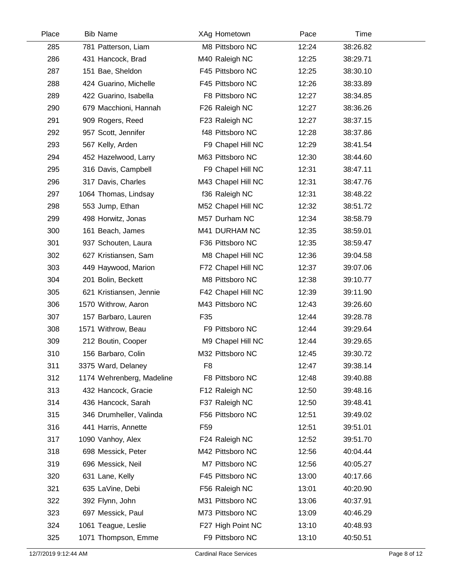| Place | <b>Bib Name</b>           | XAg Hometown       | Pace  | Time     |  |
|-------|---------------------------|--------------------|-------|----------|--|
| 285   | 781 Patterson, Liam       | M8 Pittsboro NC    | 12:24 | 38:26.82 |  |
| 286   | 431 Hancock, Brad         | M40 Raleigh NC     | 12:25 | 38:29.71 |  |
| 287   | 151 Bae, Sheldon          | F45 Pittsboro NC   | 12:25 | 38:30.10 |  |
| 288   | 424 Guarino, Michelle     | F45 Pittsboro NC   | 12:26 | 38:33.89 |  |
| 289   | 422 Guarino, Isabella     | F8 Pittsboro NC    | 12:27 | 38:34.85 |  |
| 290   | 679 Macchioni, Hannah     | F26 Raleigh NC     | 12:27 | 38:36.26 |  |
| 291   | 909 Rogers, Reed          | F23 Raleigh NC     | 12:27 | 38:37.15 |  |
| 292   | 957 Scott, Jennifer       | f48 Pittsboro NC   | 12:28 | 38:37.86 |  |
| 293   | 567 Kelly, Arden          | F9 Chapel Hill NC  | 12:29 | 38:41.54 |  |
| 294   | 452 Hazelwood, Larry      | M63 Pittsboro NC   | 12:30 | 38:44.60 |  |
| 295   | 316 Davis, Campbell       | F9 Chapel Hill NC  | 12:31 | 38:47.11 |  |
| 296   | 317 Davis, Charles        | M43 Chapel Hill NC | 12:31 | 38:47.76 |  |
| 297   | 1064 Thomas, Lindsay      | f36 Raleigh NC     | 12:31 | 38:48.22 |  |
| 298   | 553 Jump, Ethan           | M52 Chapel Hill NC | 12:32 | 38:51.72 |  |
| 299   | 498 Horwitz, Jonas        | M57 Durham NC      | 12:34 | 38:58.79 |  |
| 300   | 161 Beach, James          | M41 DURHAM NC      | 12:35 | 38:59.01 |  |
| 301   | 937 Schouten, Laura       | F36 Pittsboro NC   | 12:35 | 38:59.47 |  |
| 302   | 627 Kristiansen, Sam      | M8 Chapel Hill NC  | 12:36 | 39:04.58 |  |
| 303   | 449 Haywood, Marion       | F72 Chapel Hill NC | 12:37 | 39:07.06 |  |
| 304   | 201 Bolin, Beckett        | M8 Pittsboro NC    | 12:38 | 39:10.77 |  |
| 305   | 621 Kristiansen, Jennie   | F42 Chapel Hill NC | 12:39 | 39:11.90 |  |
| 306   | 1570 Withrow, Aaron       | M43 Pittsboro NC   | 12:43 | 39:26.60 |  |
| 307   | 157 Barbaro, Lauren       | F35                | 12:44 | 39:28.78 |  |
| 308   | 1571 Withrow, Beau        | F9 Pittsboro NC    | 12:44 | 39:29.64 |  |
| 309   | 212 Boutin, Cooper        | M9 Chapel Hill NC  | 12:44 | 39:29.65 |  |
| 310   | 156 Barbaro, Colin        | M32 Pittsboro NC   | 12:45 | 39:30.72 |  |
| 311   | 3375 Ward, Delaney        | F <sub>8</sub>     | 12:47 | 39:38.14 |  |
| 312   | 1174 Wehrenberg, Madeline | F8 Pittsboro NC    | 12:48 | 39:40.88 |  |
| 313   | 432 Hancock, Gracie       | F12 Raleigh NC     | 12:50 | 39:48.16 |  |
| 314   | 436 Hancock, Sarah        | F37 Raleigh NC     | 12:50 | 39:48.41 |  |
| 315   | 346 Drumheller, Valinda   | F56 Pittsboro NC   | 12:51 | 39:49.02 |  |
| 316   | 441 Harris, Annette       | F <sub>59</sub>    | 12:51 | 39:51.01 |  |
| 317   | 1090 Vanhoy, Alex         | F24 Raleigh NC     | 12:52 | 39:51.70 |  |
| 318   | 698 Messick, Peter        | M42 Pittsboro NC   | 12:56 | 40:04.44 |  |
| 319   | 696 Messick, Neil         | M7 Pittsboro NC    | 12:56 | 40:05.27 |  |
| 320   | 631 Lane, Kelly           | F45 Pittsboro NC   | 13:00 | 40:17.66 |  |
| 321   | 635 LaVine, Debi          | F56 Raleigh NC     | 13:01 | 40:20.90 |  |
| 322   | 392 Flynn, John           | M31 Pittsboro NC   | 13:06 | 40:37.91 |  |
| 323   | 697 Messick, Paul         | M73 Pittsboro NC   | 13:09 | 40:46.29 |  |
| 324   | 1061 Teague, Leslie       | F27 High Point NC  | 13:10 | 40:48.93 |  |
| 325   | 1071 Thompson, Emme       | F9 Pittsboro NC    | 13:10 | 40:50.51 |  |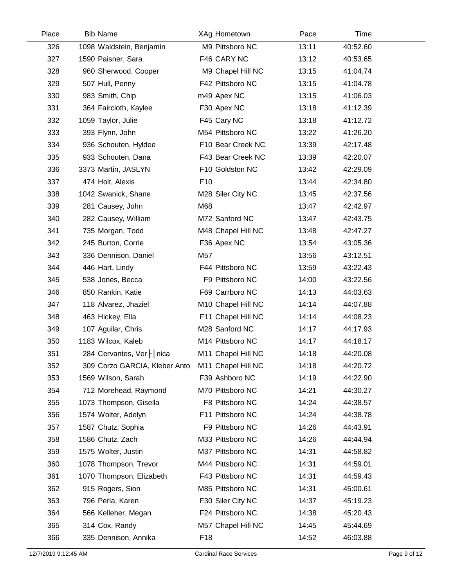| Place | <b>Bib Name</b>               | XAg Hometown       | Pace  | Time     |  |
|-------|-------------------------------|--------------------|-------|----------|--|
| 326   | 1098 Waldstein, Benjamin      | M9 Pittsboro NC    | 13:11 | 40:52.60 |  |
| 327   | 1590 Paisner, Sara            | F46 CARY NC        | 13:12 | 40:53.65 |  |
| 328   | 960 Sherwood, Cooper          | M9 Chapel Hill NC  | 13:15 | 41:04.74 |  |
| 329   | 507 Hull, Penny               | F42 Pittsboro NC   | 13:15 | 41:04.78 |  |
| 330   | 983 Smith, Chip               | m49 Apex NC        | 13:15 | 41:06.03 |  |
| 331   | 364 Faircloth, Kaylee         | F30 Apex NC        | 13:18 | 41:12.39 |  |
| 332   | 1059 Taylor, Julie            | F45 Cary NC        | 13:18 | 41:12.72 |  |
| 333   | 393 Flynn, John               | M54 Pittsboro NC   | 13:22 | 41:26.20 |  |
| 334   | 936 Schouten, Hyldee          | F10 Bear Creek NC  | 13:39 | 42:17.48 |  |
| 335   | 933 Schouten, Dana            | F43 Bear Creek NC  | 13:39 | 42:20.07 |  |
| 336   | 3373 Martin, JASLYN           | F10 Goldston NC    | 13:42 | 42:29.09 |  |
| 337   | 474 Holt, Alexis              | F <sub>10</sub>    | 13:44 | 42:34.80 |  |
| 338   | 1042 Swanick, Shane           | M28 Siler City NC  | 13:45 | 42:37.56 |  |
| 339   | 281 Causey, John              | M68                | 13:47 | 42:42.97 |  |
| 340   | 282 Causey, William           | M72 Sanford NC     | 13:47 | 42:43.75 |  |
| 341   | 735 Morgan, Todd              | M48 Chapel Hill NC | 13:48 | 42:47.27 |  |
| 342   | 245 Burton, Corrie            | F36 Apex NC        | 13:54 | 43:05.36 |  |
| 343   | 336 Dennison, Daniel          | M57                | 13:56 | 43:12.51 |  |
| 344   | 446 Hart, Lindy               | F44 Pittsboro NC   | 13:59 | 43:22.43 |  |
| 345   | 538 Jones, Becca              | F9 Pittsboro NC    | 14:00 | 43:22.56 |  |
| 346   | 850 Rankin, Katie             | F69 Carrboro NC    | 14:13 | 44:03.63 |  |
| 347   | 118 Alvarez, Jhaziel          | M10 Chapel Hill NC | 14:14 | 44:07.88 |  |
| 348   | 463 Hickey, Ella              | F11 Chapel Hill NC | 14:14 | 44:08.23 |  |
| 349   | 107 Aguilar, Chris            | M28 Sanford NC     | 14:17 | 44:17.93 |  |
| 350   | 1183 Wilcox, Kaleb            | M14 Pittsboro NC   | 14:17 | 44:18.17 |  |
| 351   | 284 Cervantes, Ver   nica     | M11 Chapel Hill NC | 14:18 | 44:20.08 |  |
| 352   | 309 Corzo GARCIA, Kleber Anto | M11 Chapel Hill NC | 14:18 | 44:20.72 |  |
| 353   | 1569 Wilson, Sarah            | F39 Ashboro NC     | 14:19 | 44:22.90 |  |
| 354   | 712 Morehead, Raymond         | M70 Pittsboro NC   | 14:21 | 44:30.27 |  |
| 355   | 1073 Thompson, Gisella        | F8 Pittsboro NC    | 14:24 | 44:38.57 |  |
| 356   | 1574 Wolter, Adelyn           | F11 Pittsboro NC   | 14:24 | 44:38.78 |  |
| 357   | 1587 Chutz, Sophia            | F9 Pittsboro NC    | 14:26 | 44:43.91 |  |
| 358   | 1586 Chutz, Zach              | M33 Pittsboro NC   | 14:26 | 44:44.94 |  |
| 359   | 1575 Wolter, Justin           | M37 Pittsboro NC   | 14:31 | 44:58.82 |  |
| 360   | 1078 Thompson, Trevor         | M44 Pittsboro NC   | 14:31 | 44:59.01 |  |
| 361   | 1070 Thompson, Elizabeth      | F43 Pittsboro NC   | 14:31 | 44:59.43 |  |
| 362   | 915 Rogers, Sion              | M85 Pittsboro NC   | 14:31 | 45:00.61 |  |
| 363   | 796 Perla, Karen              | F30 Siler City NC  | 14:37 | 45:19.23 |  |
| 364   | 566 Kelleher, Megan           | F24 Pittsboro NC   | 14:38 | 45:20.43 |  |
| 365   | 314 Cox, Randy                | M57 Chapel Hill NC | 14:45 | 45:44.69 |  |
| 366   | 335 Dennison, Annika          | F18                | 14:52 | 46:03.88 |  |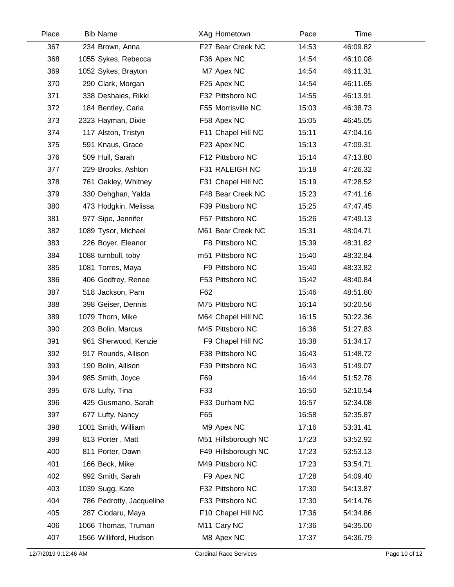| Place | <b>Bib Name</b>          | XAg Hometown            | Pace  | Time     |  |
|-------|--------------------------|-------------------------|-------|----------|--|
| 367   | 234 Brown, Anna          | F27 Bear Creek NC       | 14:53 | 46:09.82 |  |
| 368   | 1055 Sykes, Rebecca      | F36 Apex NC             | 14:54 | 46:10.08 |  |
| 369   | 1052 Sykes, Brayton      | M7 Apex NC              | 14:54 | 46:11.31 |  |
| 370   | 290 Clark, Morgan        | F25 Apex NC             | 14:54 | 46:11.65 |  |
| 371   | 338 Deshaies, Rikki      | F32 Pittsboro NC        | 14:55 | 46:13.91 |  |
| 372   | 184 Bentley, Carla       | F55 Morrisville NC      | 15:03 | 46:38.73 |  |
| 373   | 2323 Hayman, Dixie       | F58 Apex NC             | 15:05 | 46:45.05 |  |
| 374   | 117 Alston, Tristyn      | F11 Chapel Hill NC      | 15:11 | 47:04.16 |  |
| 375   | 591 Knaus, Grace         | F23 Apex NC             | 15:13 | 47:09.31 |  |
| 376   | 509 Hull, Sarah          | F12 Pittsboro NC        | 15:14 | 47:13.80 |  |
| 377   | 229 Brooks, Ashton       | F31 RALEIGH NC          | 15:18 | 47:26.32 |  |
| 378   | 761 Oakley, Whitney      | F31 Chapel Hill NC      | 15:19 | 47:28.52 |  |
| 379   | 330 Dehghan, Yalda       | F48 Bear Creek NC       | 15:23 | 47:41.16 |  |
| 380   | 473 Hodgkin, Melissa     | F39 Pittsboro NC        | 15:25 | 47:47.45 |  |
| 381   | 977 Sipe, Jennifer       | F57 Pittsboro NC        | 15:26 | 47:49.13 |  |
| 382   | 1089 Tysor, Michael      | M61 Bear Creek NC       | 15:31 | 48:04.71 |  |
| 383   | 226 Boyer, Eleanor       | F8 Pittsboro NC         | 15:39 | 48:31.82 |  |
| 384   | 1088 turnbull, toby      | m51 Pittsboro NC        | 15:40 | 48:32.84 |  |
| 385   | 1081 Torres, Maya        | F9 Pittsboro NC         | 15:40 | 48:33.82 |  |
| 386   | 406 Godfrey, Renee       | F53 Pittsboro NC        | 15:42 | 48:40.84 |  |
| 387   | 518 Jackson, Pam         | F62                     | 15:46 | 48:51.80 |  |
| 388   | 398 Geiser, Dennis       | M75 Pittsboro NC        | 16:14 | 50:20.56 |  |
| 389   | 1079 Thorn, Mike         | M64 Chapel Hill NC      | 16:15 | 50:22.36 |  |
| 390   | 203 Bolin, Marcus        | M45 Pittsboro NC        | 16:36 | 51:27.83 |  |
| 391   | 961 Sherwood, Kenzie     | F9 Chapel Hill NC       | 16:38 | 51:34.17 |  |
| 392   | 917 Rounds, Allison      | F38 Pittsboro NC        | 16:43 | 51:48.72 |  |
| 393   | 190 Bolin, Allison       | F39 Pittsboro NC        | 16:43 | 51:49.07 |  |
| 394   | 985 Smith, Joyce         | F69                     | 16:44 | 51:52.78 |  |
| 395   | 678 Lufty, Tina          | F33                     | 16:50 | 52:10.54 |  |
| 396   | 425 Gusmano, Sarah       | F33 Durham NC           | 16:57 | 52:34.08 |  |
| 397   | 677 Lufty, Nancy         | F65                     | 16:58 | 52:35.87 |  |
| 398   | 1001 Smith, William      | M9 Apex NC              | 17:16 | 53:31.41 |  |
| 399   | 813 Porter, Matt         | M51 Hillsborough NC     | 17:23 | 53:52.92 |  |
| 400   | 811 Porter, Dawn         | F49 Hillsborough NC     | 17:23 | 53:53.13 |  |
| 401   | 166 Beck, Mike           | M49 Pittsboro NC        | 17:23 | 53:54.71 |  |
| 402   | 992 Smith, Sarah         | F9 Apex NC              | 17:28 | 54:09.40 |  |
| 403   | 1039 Sugg, Kate          | F32 Pittsboro NC        | 17:30 | 54:13.87 |  |
| 404   | 786 Pedrotty, Jacqueline | F33 Pittsboro NC        | 17:30 | 54:14.76 |  |
| 405   | 287 Ciodaru, Maya        | F10 Chapel Hill NC      | 17:36 | 54:34.86 |  |
| 406   | 1066 Thomas, Truman      | M <sub>11</sub> Cary NC | 17:36 | 54:35.00 |  |
| 407   | 1566 Williford, Hudson   | M8 Apex NC              | 17:37 | 54:36.79 |  |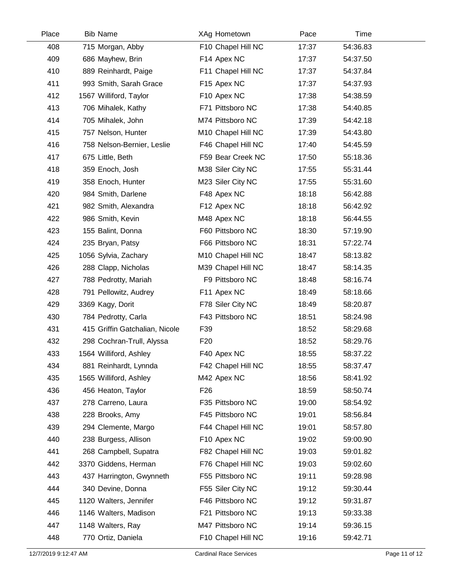| Place | <b>Bib Name</b>                | XAg Hometown       | Pace  | Time     |  |
|-------|--------------------------------|--------------------|-------|----------|--|
| 408   | 715 Morgan, Abby               | F10 Chapel Hill NC | 17:37 | 54:36.83 |  |
| 409   | 686 Mayhew, Brin               | F14 Apex NC        | 17:37 | 54:37.50 |  |
| 410   | 889 Reinhardt, Paige           | F11 Chapel Hill NC | 17:37 | 54:37.84 |  |
| 411   | 993 Smith, Sarah Grace         | F15 Apex NC        | 17:37 | 54:37.93 |  |
| 412   | 1567 Williford, Taylor         | F10 Apex NC        | 17:38 | 54:38.59 |  |
| 413   | 706 Mihalek, Kathy             | F71 Pittsboro NC   | 17:38 | 54:40.85 |  |
| 414   | 705 Mihalek, John              | M74 Pittsboro NC   | 17:39 | 54:42.18 |  |
| 415   | 757 Nelson, Hunter             | M10 Chapel Hill NC | 17:39 | 54:43.80 |  |
| 416   | 758 Nelson-Bernier, Leslie     | F46 Chapel Hill NC | 17:40 | 54:45.59 |  |
| 417   | 675 Little, Beth               | F59 Bear Creek NC  | 17:50 | 55:18.36 |  |
| 418   | 359 Enoch, Josh                | M38 Siler City NC  | 17:55 | 55:31.44 |  |
| 419   | 358 Enoch, Hunter              | M23 Siler City NC  | 17:55 | 55:31.60 |  |
| 420   | 984 Smith, Darlene             | F48 Apex NC        | 18:18 | 56:42.88 |  |
| 421   | 982 Smith, Alexandra           | F12 Apex NC        | 18:18 | 56:42.92 |  |
| 422   | 986 Smith, Kevin               | M48 Apex NC        | 18:18 | 56:44.55 |  |
| 423   | 155 Balint, Donna              | F60 Pittsboro NC   | 18:30 | 57:19.90 |  |
| 424   | 235 Bryan, Patsy               | F66 Pittsboro NC   | 18:31 | 57:22.74 |  |
| 425   | 1056 Sylvia, Zachary           | M10 Chapel Hill NC | 18:47 | 58:13.82 |  |
| 426   | 288 Clapp, Nicholas            | M39 Chapel Hill NC | 18:47 | 58:14.35 |  |
| 427   | 788 Pedrotty, Mariah           | F9 Pittsboro NC    | 18:48 | 58:16.74 |  |
| 428   | 791 Pellowitz, Audrey          | F11 Apex NC        | 18:49 | 58:18.66 |  |
| 429   | 3369 Kagy, Dorit               | F78 Siler City NC  | 18:49 | 58:20.87 |  |
| 430   | 784 Pedrotty, Carla            | F43 Pittsboro NC   | 18:51 | 58:24.98 |  |
| 431   | 415 Griffin Gatchalian, Nicole | F39                | 18:52 | 58:29.68 |  |
| 432   | 298 Cochran-Trull, Alyssa      | F <sub>20</sub>    | 18:52 | 58:29.76 |  |
| 433   | 1564 Williford, Ashley         | F40 Apex NC        | 18:55 | 58:37.22 |  |
| 434   | 881 Reinhardt, Lynnda          | F42 Chapel Hill NC | 18:55 | 58:37.47 |  |
| 435   | 1565 Williford, Ashley         | M42 Apex NC        | 18:56 | 58:41.92 |  |
| 436   | 456 Heaton, Taylor             | F <sub>26</sub>    | 18:59 | 58:50.74 |  |
| 437   | 278 Carreno, Laura             | F35 Pittsboro NC   | 19:00 | 58:54.92 |  |
| 438   | 228 Brooks, Amy                | F45 Pittsboro NC   | 19:01 | 58:56.84 |  |
| 439   | 294 Clemente, Margo            | F44 Chapel Hill NC | 19:01 | 58:57.80 |  |
| 440   | 238 Burgess, Allison           | F10 Apex NC        | 19:02 | 59:00.90 |  |
| 441   | 268 Campbell, Supatra          | F82 Chapel Hill NC | 19:03 | 59:01.82 |  |
| 442   | 3370 Giddens, Herman           | F76 Chapel Hill NC | 19:03 | 59:02.60 |  |
| 443   | 437 Harrington, Gwynneth       | F55 Pittsboro NC   | 19:11 | 59:28.98 |  |
| 444   | 340 Devine, Donna              | F55 Siler City NC  | 19:12 | 59:30.44 |  |
| 445   | 1120 Walters, Jennifer         | F46 Pittsboro NC   | 19:12 | 59:31.87 |  |
| 446   | 1146 Walters, Madison          | F21 Pittsboro NC   | 19:13 | 59:33.38 |  |
| 447   | 1148 Walters, Ray              | M47 Pittsboro NC   | 19:14 | 59:36.15 |  |
| 448   | 770 Ortiz, Daniela             | F10 Chapel Hill NC | 19:16 | 59:42.71 |  |